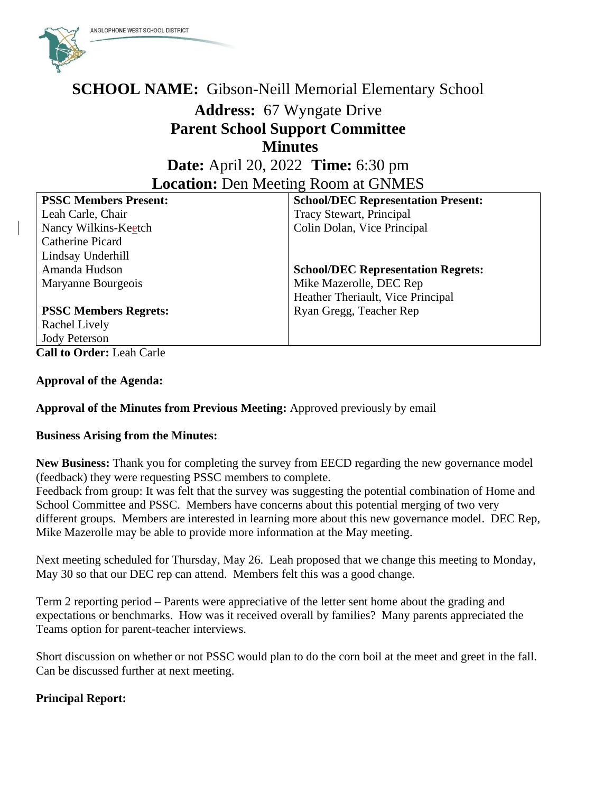

## **SCHOOL NAME:** Gibson-Neill Memorial Elementary School

# **Address:** 67 Wyngate Drive **Parent School Support Committee Minutes**

## **Date:** April 20, 2022 **Time:** 6:30 pm **Location:** Den Meeting Room at GNMES

| <b>School/DEC Representation Present:</b> |
|-------------------------------------------|
| Tracy Stewart, Principal                  |
| Colin Dolan, Vice Principal               |
|                                           |
|                                           |
| <b>School/DEC Representation Regrets:</b> |
| Mike Mazerolle, DEC Rep                   |
| Heather Theriault, Vice Principal         |
| Ryan Gregg, Teacher Rep                   |
|                                           |
|                                           |
|                                           |

**Call to Order:** Leah Carle

#### **Approval of the Agenda:**

### **Approval of the Minutes from Previous Meeting:** Approved previously by email

#### **Business Arising from the Minutes:**

**New Business:** Thank you for completing the survey from EECD regarding the new governance model (feedback) they were requesting PSSC members to complete.

Feedback from group: It was felt that the survey was suggesting the potential combination of Home and School Committee and PSSC. Members have concerns about this potential merging of two very different groups. Members are interested in learning more about this new governance model. DEC Rep, Mike Mazerolle may be able to provide more information at the May meeting.

Next meeting scheduled for Thursday, May 26. Leah proposed that we change this meeting to Monday, May 30 so that our DEC rep can attend. Members felt this was a good change.

Term 2 reporting period – Parents were appreciative of the letter sent home about the grading and expectations or benchmarks. How was it received overall by families? Many parents appreciated the Teams option for parent-teacher interviews.

Short discussion on whether or not PSSC would plan to do the corn boil at the meet and greet in the fall. Can be discussed further at next meeting.

### **Principal Report:**